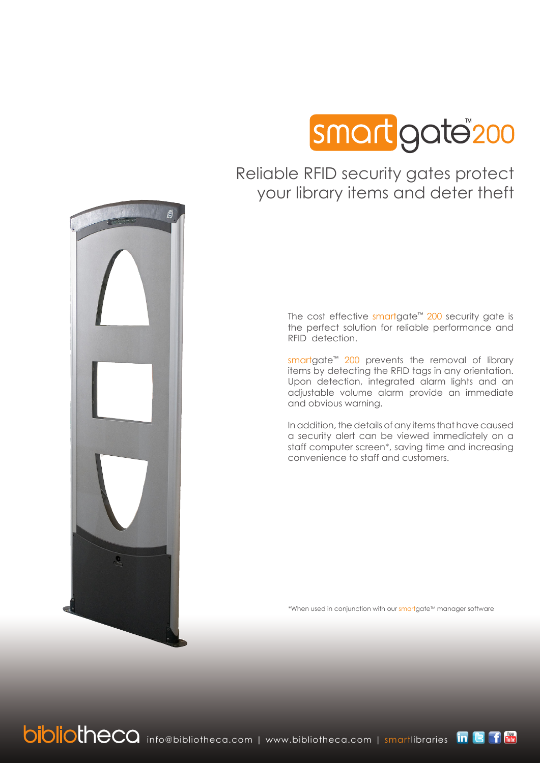

### Reliable RFID security gates protect your library items and deter theft

The cost effective smartgate™ 200 security gate is the perfect solution for reliable performance and RFID detection.

smartgate<sup>™</sup> 200 prevents the removal of library items by detecting the RFID tags in any orientation. Upon detection, integrated alarm lights and an adjustable volume alarm provide an immediate and obvious warning.

In addition, the details of any items that have caused a security alert can be viewed immediately on a staff computer screen\*, saving time and increasing convenience to staff and customers.

\*When used in conjunction with our smartaate<sup>TM</sup> manager software



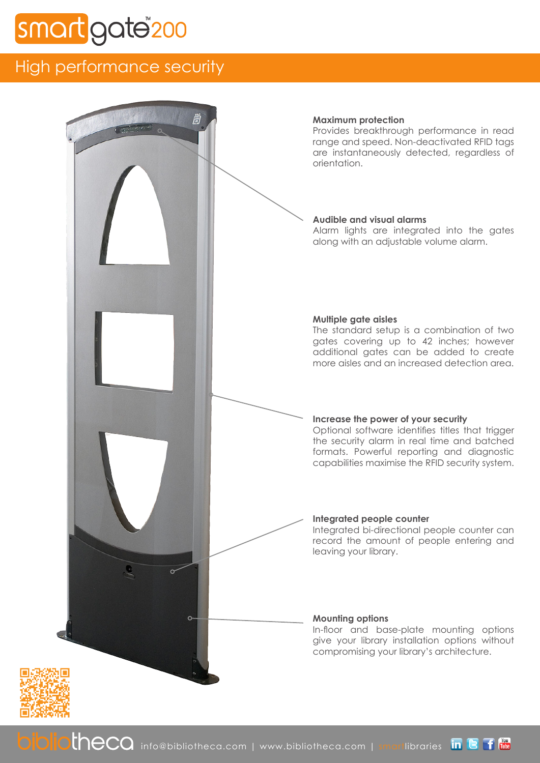# gate<sup>"</sup>200

## High performance security